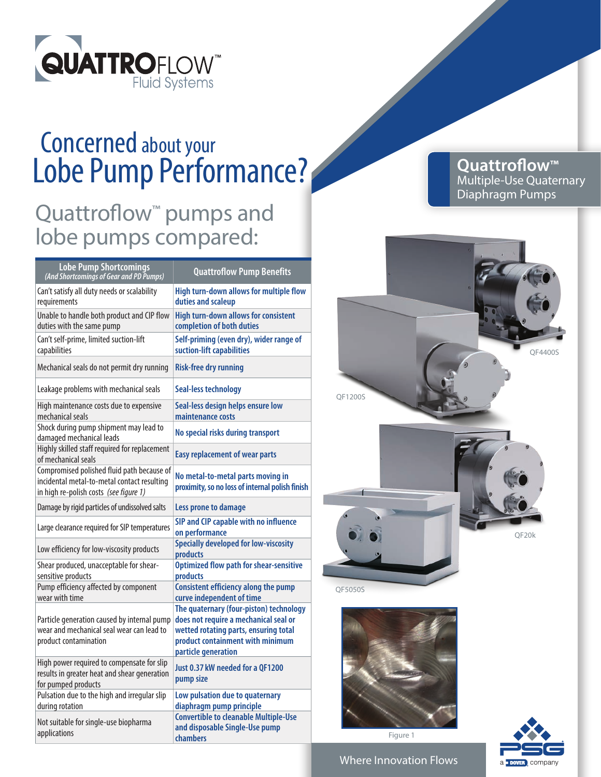

## Lobe Pump Performance? Concerned about your

## Quattroflow<sup>™</sup> pumps and lobe pumps compared:

| <b>Lobe Pump Shortcomings</b><br>(And Shortcomings of Gear and PD Pumps)                                                            | <b>Quattroflow Pump Benefits</b>                                                                                                                                                     |
|-------------------------------------------------------------------------------------------------------------------------------------|--------------------------------------------------------------------------------------------------------------------------------------------------------------------------------------|
| Can't satisfy all duty needs or scalability<br>requirements                                                                         | High turn-down allows for multiple flow<br>duties and scaleup                                                                                                                        |
| Unable to handle both product and CIP flow<br>duties with the same pump                                                             | <b>High turn-down allows for consistent</b><br>completion of both duties                                                                                                             |
| Can't self-prime, limited suction-lift<br>capabilities                                                                              | Self-priming (even dry), wider range of<br>suction-lift capabilities                                                                                                                 |
| Mechanical seals do not permit dry running                                                                                          | <b>Risk-free dry running</b>                                                                                                                                                         |
| Leakage problems with mechanical seals                                                                                              | <b>Seal-less technology</b>                                                                                                                                                          |
| High maintenance costs due to expensive<br>mechanical seals                                                                         | Seal-less design helps ensure low<br>maintenance costs                                                                                                                               |
| Shock during pump shipment may lead to<br>damaged mechanical leads                                                                  | No special risks during transport                                                                                                                                                    |
| Highly skilled staff required for replacement<br>of mechanical seals                                                                | <b>Easy replacement of wear parts</b>                                                                                                                                                |
| Compromised polished fluid path because of<br>incidental metal-to-metal contact resulting<br>in high re-polish costs (see figure 1) | No metal-to-metal parts moving in<br>proximity, so no loss of internal polish finish                                                                                                 |
| Damage by rigid particles of undissolved salts                                                                                      | Less prone to damage                                                                                                                                                                 |
| Large clearance required for SIP temperatures                                                                                       | SIP and CIP capable with no influence<br>on performance                                                                                                                              |
| Low efficiency for low-viscosity products                                                                                           | <b>Specially developed for low-viscosity</b><br>products                                                                                                                             |
| Shear produced, unacceptable for shear-<br>sensitive products                                                                       | <b>Optimized flow path for shear-sensitive</b><br>products                                                                                                                           |
| Pump efficiency affected by component<br>wear with time                                                                             | <b>Consistent efficiency along the pump</b><br>curve independent of time                                                                                                             |
| Particle generation caused by internal pump<br>wear and mechanical seal wear can lead to<br>product contamination                   | The quaternary (four-piston) technology<br>does not require a mechanical seal or<br>wetted rotating parts, ensuring total<br>product containment with minimum<br>particle generation |
| High power required to compensate for slip<br>results in greater heat and shear generation<br>for pumped products                   | Just 0.37 kW needed for a OF1200<br>pump size                                                                                                                                        |
| Pulsation due to the high and irregular slip<br>during rotation                                                                     | Low pulsation due to quaternary<br>diaphragm pump principle                                                                                                                          |
| Not suitable for single-use biopharma<br>applications                                                                               | <b>Convertible to cleanable Multiple-Use</b><br>and disposable Single-Use pump<br>chambers                                                                                           |

**Quattroflow™** Multiple-Use Quaternary Diaphragm Pumps





Figure 1



Where Innovation Flows